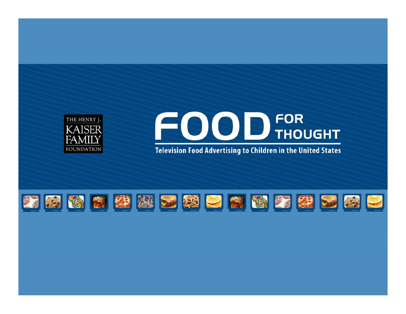

# FOOD THOUGHT

**Television Food Advertising to Children in the United States** 

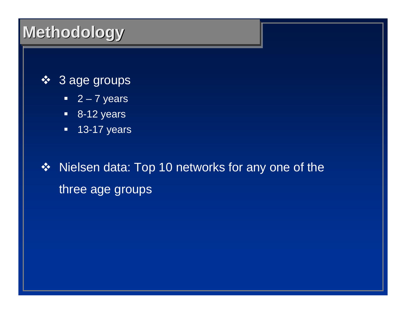#### 3 age groups

- $-2 7$  years
- 8-12 years
- **13-17 years**

❖ Nielsen data: Top 10 networks for any one of the three age groups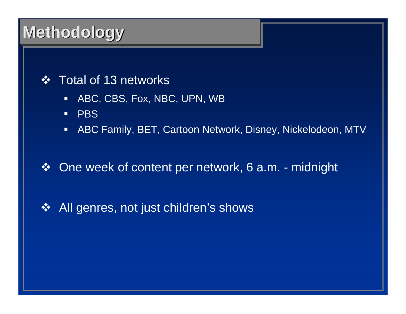#### **❖** Total of 13 networks

- $\Box$ ABC, CBS, Fox, NBC, UPN, WB
- $\blacksquare$ **PBS**
- $\Box$ ABC Family, BET, Cartoon Network, Disney, Nickelodeon, MTV

#### $\frac{1}{2}$ One week of content per network, 6 a.m. - midnight

All genres, not just children's shows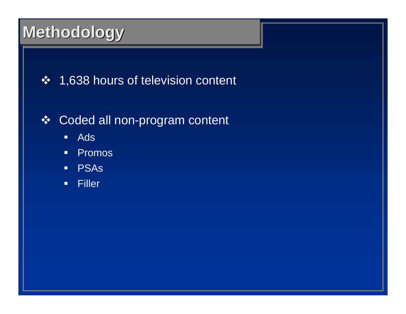### 1,638 hours of television content

### Coded all non-program content

- $\blacksquare$ ■ Ads
- $\Box$ **•** Promos
- $\blacksquare$ PSAs
- $\blacksquare$ **Filler**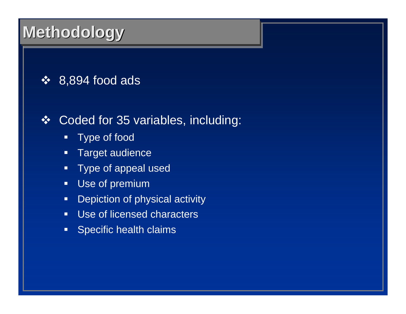### $\div$  8,894 food ads

#### Coded for 35 variables, including:

- $\Box$ Type of food
- $\Box$ Target audience
- $\Box$ Type of appeal used
- $\Box$ Use of premium
- $\Box$ Depiction of physical activity
- $\Box$ Use of licensed characters
- $\Box$ Specific health claims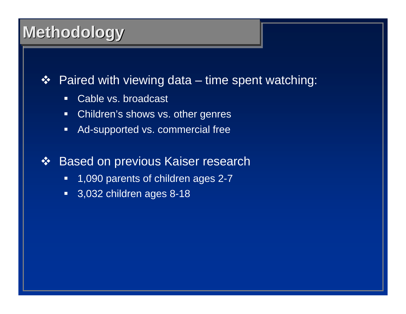#### $\frac{1}{2}$ Paired with viewing data – time spent watching:

- $\Box$ Cable vs. broadcast
- $\Box$ Children's shows vs. other genres
- $\Box$ Ad-supported vs. commercial free
- $\frac{1}{2}$  Based on previous Kaiser research
	- $\blacksquare$ 1,090 parents of children ages 2-7
	- 3,032 children ages 8-18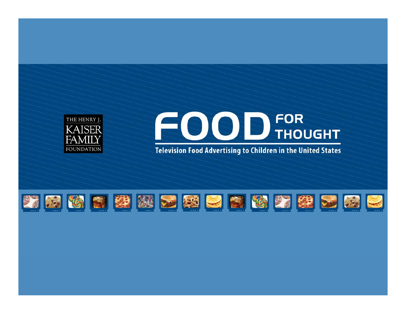

# FOOD THOUGHT

**Television Food Advertising to Children in the United States** 

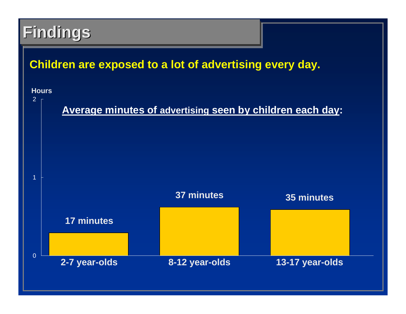#### **Children are exposed to a lot of advertising every day.**

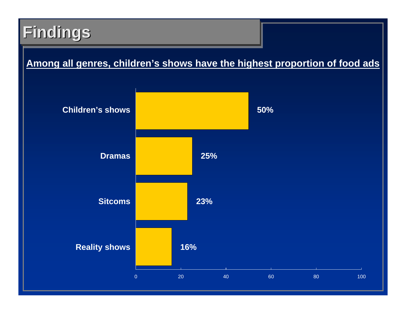#### **Among all genres, children's shows have the highest proportion of food ads**

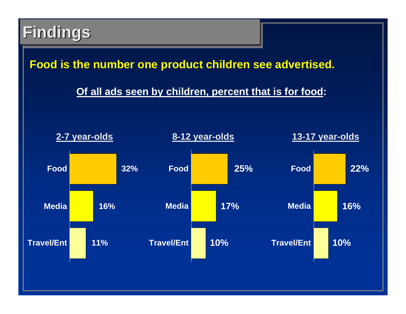#### **Food is the number one product children see advertised.**

#### **Of all ads seen by children, percent that is for food:**

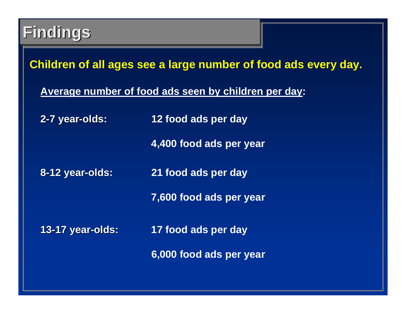**Children of all ages see a large number of food ads every day.**

**Average number of food ads seen by children per day:**

**2-7 year-olds: 12 food ads per day**

**4,400 food ads per year**

**8-12 year 12 year-olds: 21 food ads per day**

**7,600 food ads per year**

**13-17 year 17 year-olds: 17 food ads per day**

**6,000 food ads per year**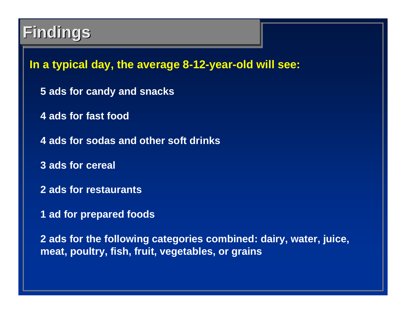**In a typical day, the average 8-12-year-old will see:**

- **5 ads for candy and snacks**
- **4 ads for fast food**
- **4 ads for sodas and other soft drinks**
- **3 ads for cereal**
- **2 ads for restaurants**
- **1 ad for prepared foods**

**2 ads for the following categories combined: dairy, water, juice, meat, poultry, fish, fruit, vegetables, or grains**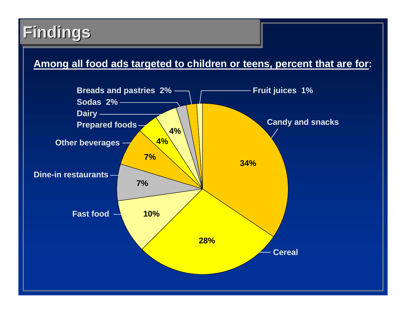#### **Among all food ads targeted to children or teens, percent that are for:**

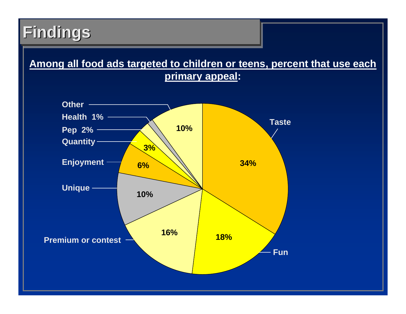#### **Among all food ads targeted to children or teens, percent that use each primary appeal:**

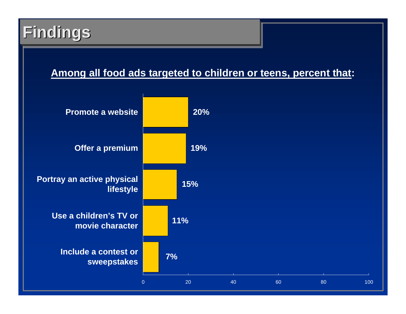#### **Among all food ads targeted to children or teens, percent that:**

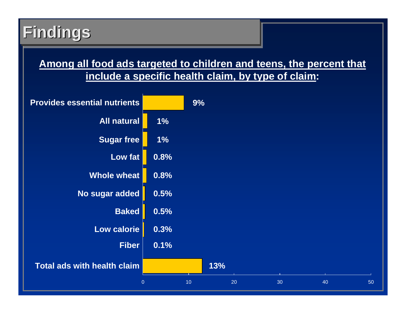#### **Among all food ads targeted to children and teens, the percent that include a specific health claim, by type of claim:**

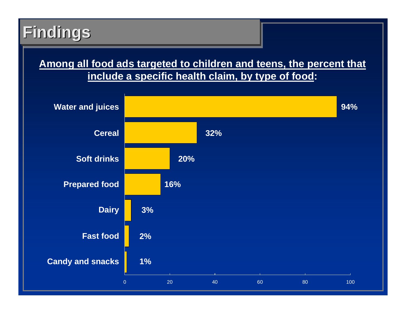#### **Among all food ads targeted to children and teens, the percent that include a specific health claim, by type of food:**

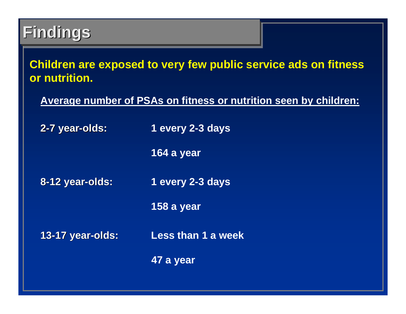#### **Children are exposed to very few public service ads on fitness or nutrition.**

**Average number of PSAs on fitness or nutrition seen by children:**

**2-7 year-olds: 1 every 2-3 days**

**164 a year**

**8-12 year 12 year-olds: 1 every 2-3 days**

**158 a year**

**13-17 year 17 year-olds: Less than 1 a week**

**47 a year**